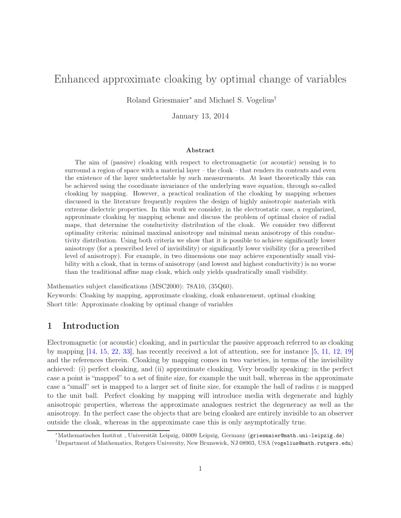# Enhanced approximate cloaking by optimal change of variables

Roland Griesmaier<sup>∗</sup> and Michael S. Vogelius†

January 13, 2014

#### Abstract

The aim of (passive) cloaking with respect to electromagnetic (or acoustic) sensing is to surround a region of space with a material layer – the cloak – that renders its contents and even the existence of the layer undetectable by such measurements. At least theoretically this can be achieved using the coordinate invariance of the underlying wave equation, through so-called cloaking by mapping. However, a practical realization of the cloaking by mapping schemes discussed in the literature frequently requires the design of highly anisotropic materials with extreme dielectric properties. In this work we consider, in the electrostatic case, a regularized, approximate cloaking by mapping scheme and discuss the problem of optimal choice of radial maps, that determine the conductivity distribution of the cloak. We consider two different optimality criteria: minimal maximal anisotropy and minimal mean anisotropy of this conductivity distribution. Using both criteria we show that it is possible to achieve significantly lower anisotropy (for a prescribed level of invisibility) or significantly lower visibility (for a prescribed level of anisotropy). For example, in two dimensions one may achieve exponentially small visibility with a cloak, that in terms of anisotropy (and lowest and highest conductivity) is no worse than the traditional affine map cloak, which only yields quadratically small visibility.

Mathematics subject classifications (MSC2000): 78A10, (35Q60).

Keywords: Cloaking by mapping, approximate cloaking, cloak enhancement, optimal cloaking Short title: Approximate cloaking by optimal change of variables

## 1 Introduction

Electromagnetic (or acoustic) cloaking, and in particular the passive approach referred to as cloaking by mapping [\[14,](#page-17-0) [15,](#page-17-1) [22,](#page-17-2) [33\]](#page-18-0), has recently received a lot of attention, see for instance [\[5,](#page-17-3) [11,](#page-17-4) [12,](#page-17-5) [19\]](#page-17-6) and the references therein. Cloaking by mapping comes in two varieties, in terms of the invisibility achieved: (i) perfect cloaking, and (ii) approximate cloaking. Very broadly speaking: in the perfect case a point is "mapped" to a set of finite size, for example the unit ball, whereas in the approximate case a "small" set is mapped to a larger set of finite size, for example the ball of radius  $\varepsilon$  is mapped to the unit ball. Perfect cloaking by mapping will introduce media with degenerate and highly anisotropic properties, whereas the approximate analogues restrict the degeneracy as well as the anisotropy. In the perfect case the objects that are being cloaked are entirely invisible to an observer outside the cloak, whereas in the approximate case this is only asymptotically true.

<sup>∗</sup>Mathematisches Institut , Universität Leipzig, 04009 Leipzig, Germany (griesmaier@math.uni-leipzig.de)

<sup>†</sup>Department of Mathematics, Rutgers University, New Brunswick, NJ 08903, USA (vogelius@math.rutgers.edu)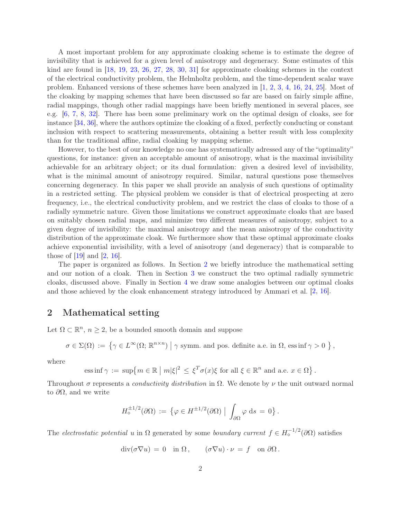A most important problem for any approximate cloaking scheme is to estimate the degree of invisibility that is achieved for a given level of anisotropy and degeneracy. Some estimates of this kind are found in [\[18,](#page-17-7) [19,](#page-17-6) [23,](#page-17-8) [26,](#page-17-9) [27,](#page-18-1) [28,](#page-18-2) [30,](#page-18-3) [31\]](#page-18-4) for approximate cloaking schemes in the context of the electrical conductivity problem, the Helmholtz problem, and the time-dependent scalar wave problem. Enhanced versions of these schemes have been analyzed in [\[1,](#page-16-0) [2,](#page-16-1) [3,](#page-16-2) [4,](#page-16-3) [16,](#page-17-10) [24,](#page-17-11) [25\]](#page-17-12). Most of the cloaking by mapping schemes that have been discussed so far are based on fairly simple affine, radial mappings, though other radial mappings have been briefly mentioned in several places, see e.g. [\[6,](#page-17-13) [7,](#page-17-14) [8,](#page-17-15) [32\]](#page-18-5). There has been some preliminary work on the optimal design of cloaks, see for instance [\[34,](#page-18-6) [36\]](#page-18-7), where the authors optimize the cloaking of a fixed, perfectly conducting or constant inclusion with respect to scattering measurements, obtaining a better result with less complexity than for the traditional affine, radial cloaking by mapping scheme.

However, to the best of our knowledge no one has systematically adressed any of the "optimality" questions, for instance: given an acceptable amount of anisotropy, what is the maximal invisibility achievable for an arbitrary object; or its dual formulation: given a desired level of invisibility, what is the minimal amount of anisotropy required. Similar, natural questions pose themselves concerning degeneracy. In this paper we shall provide an analysis of such questions of optimality in a restricted setting. The physical problem we consider is that of electrical prospecting at zero frequency, i.e., the electrical conductivity problem, and we restrict the class of cloaks to those of a radially symmetric nature. Given those limitations we construct approximate cloaks that are based on suitably chosen radial maps, and minimize two different measures of anisotropy, subject to a given degree of invisibility: the maximal anisotropy and the mean anisotropy of the conductivity distribution of the approximate cloak. We furthermore show that these optimal approximate cloaks achieve exponential invisibility, with a level of anisotropy (and degeneracy) that is comparable to those of  $[19]$  and  $[2, 16]$  $[2, 16]$ .

The paper is organized as follows. In Section [2](#page-1-0) we briefly introduce the mathematical setting and our notion of a cloak. Then in Section [3](#page-6-0) we construct the two optimal radially symmetric cloaks, discussed above. Finally in Section [4](#page-12-0) we draw some analogies between our optimal cloaks and those achieved by the cloak enhancement strategy introduced by Ammari et al. [\[2,](#page-16-1) [16\]](#page-17-10).

## <span id="page-1-0"></span>2 Mathematical setting

Let  $\Omega \subset \mathbb{R}^n$ ,  $n \geq 2$ , be a bounded smooth domain and suppose

$$
\sigma \in \Sigma(\Omega) := \left\{ \gamma \in L^{\infty}(\Omega; \mathbb{R}^{n \times n}) \mid \gamma \text{ symm. and pos. definite a.e. in } \Omega, \text{ ess inf } \gamma > 0 \right\},\
$$

where

ess inf 
$$
\gamma := \sup \{ m \in \mathbb{R} \mid m|\xi|^2 \leq \xi^T \sigma(x)\xi
$$
 for all  $\xi \in \mathbb{R}^n$  and a.e.  $x \in \Omega \}$ .

Throughout  $\sigma$  represents a *conductivity distribution* in  $\Omega$ . We denote by  $\nu$  the unit outward normal to  $\partial\Omega$ , and we write

$$
H_{\diamond}^{\pm 1/2}(\partial\Omega) := \left\{ \varphi \in H^{\pm 1/2}(\partial\Omega) \; | \; \int_{\partial\Omega} \varphi \; ds = 0 \right\}.
$$

The electrostatic potential u in  $\Omega$  generated by some boundary current  $f \in H_{\circ}^{-1/2}(\partial \Omega)$  satisfies

$$
\operatorname{div}(\sigma \nabla u) = 0 \quad \text{in } \Omega \,, \qquad (\sigma \nabla u) \cdot \nu = f \quad \text{on } \partial \Omega \,.
$$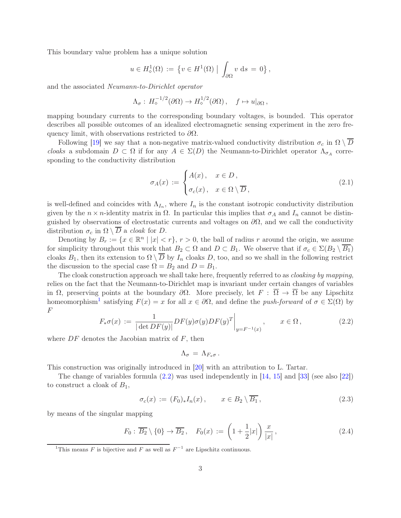This boundary value problem has a unique solution

$$
u \in H^1_{\diamond}(\Omega) := \{ v \in H^1(\Omega) \mid \int_{\partial \Omega} v \, ds = 0 \},
$$

and the associated Neumann-to-Dirichlet operator

$$
\Lambda_{\sigma}: H_{\diamond}^{-1/2}(\partial\Omega) \to H_{\diamond}^{1/2}(\partial\Omega), \quad f \mapsto u|_{\partial\Omega},
$$

mapping boundary currents to the corresponding boundary voltages, is bounded. This operator describes all possible outcomes of an idealized electromagnetic sensing experiment in the zero frequency limit, with observations restricted to  $\partial\Omega$ .

Following [\[19\]](#page-17-6) we say that a non-negative matrix-valued conductivity distribution  $\sigma_c$  in  $\Omega \setminus \overline{D}$ cloaks a subdomain  $D \subset \Omega$  if for any  $A \in \Sigma(D)$  the Neumann-to-Dirichlet operator  $\Lambda_{\sigma_A}$  corresponding to the conductivity distribution

<span id="page-2-2"></span>
$$
\sigma_A(x) := \begin{cases} A(x), & x \in D, \\ \sigma_c(x), & x \in \Omega \setminus \overline{D}, \end{cases}
$$
\n(2.1)

is well-defined and coincides with  $\Lambda_{I_n}$ , where  $I_n$  is the constant isotropic conductivity distribution given by the  $n \times n$ -identity matrix in  $\Omega$ . In particular this implies that  $\sigma_A$  and  $I_n$  cannot be distinguished by observations of electrostatic currents and voltages on  $\partial\Omega$ , and we call the conductivity distribution  $\sigma_c$  in  $\Omega \setminus \overline{D}$  a *cloak* for D.

Denoting by  $B_r := \{x \in \mathbb{R}^n \mid |x| < r\}, r > 0$ , the ball of radius r around the origin, we assume for simplicity throughout this work that  $B_2 \subset \Omega$  and  $D \subset B_1$ . We observe that if  $\sigma_c \in \Sigma(B_2 \setminus \overline{B_1})$ cloaks  $B_1$ , then its extension to  $\Omega \setminus \overline{D}$  by  $I_n$  cloaks D, too, and so we shall in the following restrict the discussion to the special case  $\Omega = B_2$  and  $D = B_1$ .

The cloak construction approach we shall take here, frequently referred to as *cloaking by mapping*, relies on the fact that the Neumann-to-Dirichlet map is invariant under certain changes of variables in  $\Omega$ , preserving points at the boundary  $\partial\Omega$ . More precisely, let  $F : \overline{\Omega} \to \overline{\Omega}$  be any Lipschitz homeomorphism<sup>[1](#page-2-0)</sup> satisfying  $F(x) = x$  for all  $x \in \partial\Omega$ , and define the *push-forward* of  $\sigma \in \Sigma(\Omega)$  by F

<span id="page-2-1"></span>
$$
F_*\sigma(x) := \frac{1}{|\det DF(y)|} DF(y)\sigma(y)DF(y)^T \Big|_{y = F^{-1}(x)}, \qquad x \in \Omega,
$$
\n(2.2)

where  $DF$  denotes the Jacobian matrix of  $F$ , then

$$
\Lambda_{\sigma} \,=\, \Lambda_{F_*\sigma} \,.
$$

This construction was originally introduced in [\[20\]](#page-17-16) with an attribution to L. Tartar.

The change of variables formula  $(2.2)$  was used independently in [\[14,](#page-17-0) [15\]](#page-17-1) and [\[33\]](#page-18-0) (see also [\[22\]](#page-17-2)) to construct a cloak of  $B_1$ ,

<span id="page-2-3"></span>
$$
\sigma_c(x) := (F_0)_* I_n(x), \qquad x \in B_2 \setminus \overline{B_1}, \tag{2.3}
$$

by means of the singular mapping

<span id="page-2-4"></span>
$$
F_0: \overline{B_2} \setminus \{0\} \to \overline{B_2}, \quad F_0(x) := \left(1 + \frac{1}{2}|x|\right) \frac{x}{|x|}, \tag{2.4}
$$

<span id="page-2-0"></span><sup>&</sup>lt;sup>1</sup>This means F is bijective and F as well as  $F^{-1}$  are Lipschitz continuous.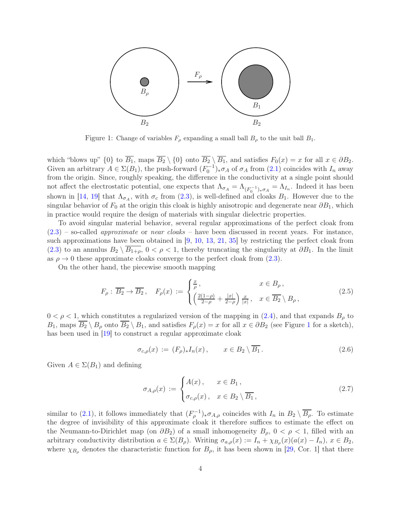

<span id="page-3-0"></span>Figure 1: Change of variables  $F_{\rho}$  expanding a small ball  $B_{\rho}$  to the unit ball  $B_1$ .

which "blows up" {0} to  $\overline{B_1}$ , maps  $\overline{B_2} \setminus \{0\}$  onto  $\overline{B_2} \setminus \overline{B_1}$ , and satisfies  $F_0(x) = x$  for all  $x \in \partial B_2$ . Given an arbitrary  $A \in \Sigma(B_1)$ , the push-forward  $(F_0^{-1})_* \sigma_A$  of  $\sigma_A$  from  $(2.1)$  coincides with  $I_n$  away from the origin. Since, roughly speaking, the difference in the conductivity at a single point should not affect the electrostatic potential, one expects that  $\Lambda_{\sigma_A} = \Lambda_{(F_0^{-1})_*\sigma_A} = \Lambda_{I_n}$ . Indeed it has been shown in [\[14,](#page-17-0) [19\]](#page-17-6) that  $\Lambda_{\sigma_A}$ , with  $\sigma_c$  from [\(2.3\)](#page-2-3), is well-defined and cloaks  $B_1$ . However due to the singular behavior of  $F_0$  at the origin this cloak is highly anisotropic and degenerate near  $\partial B_1$ , which in practice would require the design of materials with singular dielectric properties.

To avoid singular material behavior, several regular approximations of the perfect cloak from  $(2.3)$  – so-called *approximate* or *near cloaks* – have been discussed in recent years. For instance, such approximations have been obtained in [\[9,](#page-17-17) [10,](#page-17-18) [13,](#page-17-19) [21,](#page-17-20) [35\]](#page-18-8) by restricting the perfect cloak from [\(2.3\)](#page-2-3) to an annulus  $B_2 \setminus \overline{B_{1+\rho}}$ ,  $0 < \rho < 1$ , thereby truncating the singularity at  $\partial B_1$ . In the limit as  $\rho \to 0$  these approximate cloaks converge to the perfect cloak from [\(2.3\)](#page-2-3).

On the other hand, the piecewise smooth mapping

<span id="page-3-3"></span>
$$
F_{\rho}: \overline{B_2} \to \overline{B_2}, \quad F_{\rho}(x) := \begin{cases} \frac{x}{\rho}, & x \in B_{\rho}, \\ \left(\frac{2(1-\rho)}{2-\rho} + \frac{|x|}{2-\rho}\right) \frac{x}{|x|}, & x \in \overline{B_2} \setminus B_{\rho}, \end{cases}
$$
(2.5)

 $0 < \rho < 1$ , which constitutes a regularized version of the mapping in [\(2.4\)](#page-2-4), and that expands  $B_{\rho}$  to  $B_1$  $B_1$ , maps  $\overline{B_2} \setminus B_0$  onto  $\overline{B_2} \setminus B_1$ , and satisfies  $F_\rho(x) = x$  for all  $x \in \partial B_2$  (see Figure 1 for a sketch), has been used in [\[19\]](#page-17-6) to construct a regular approximate cloak

<span id="page-3-2"></span>
$$
\sigma_{c,\rho}(x) := (F_{\rho})_* I_n(x), \qquad x \in B_2 \setminus \overline{B_1}.
$$
\n(2.6)

Given  $A \in \Sigma(B_1)$  and defining

<span id="page-3-1"></span>
$$
\sigma_{A,\rho}(x) := \begin{cases} A(x), & x \in B_1, \\ \sigma_{c,\rho}(x), & x \in B_2 \setminus \overline{B_1}, \end{cases}
$$
\n(2.7)

similar to [\(2.1\)](#page-2-2), it follows immediately that  $(F_{\rho}^{-1})_{*}\sigma_{A,\rho}$  coincides with  $I_n$  in  $B_2 \setminus \overline{B_{\rho}}$ . To estimate the degree of invisibility of this approximate cloak it therefore suffices to estimate the effect on the Neumann-to-Dirichlet map (on  $\partial B_2$ ) of a small inhomogeneity  $B_\rho$ ,  $0 < \rho < 1$ , filled with an arbitrary conductivity distribution  $a \in \Sigma(B_\rho)$ . Writing  $\sigma_{a,\rho}(x) := I_n + \chi_{B_\rho}(x) (a(x) - I_n)$ ,  $x \in B_2$ , where  $\chi_{B_\rho}$  denotes the characteristic function for  $B_\rho$ , it has been shown in [\[29,](#page-18-9) Cor. 1] that there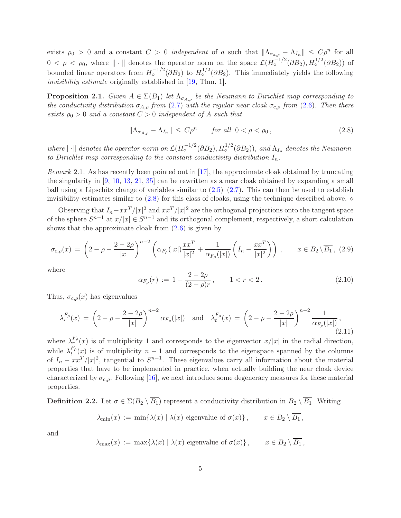exists  $\rho_0 > 0$  and a constant  $C > 0$  independent of a such that  $\|\Lambda_{\sigma_{a,\rho}} - \Lambda_{I_n}\| \leq C\rho^n$  for all  $0 < \rho < \rho_0$ , where  $\|\cdot\|$  denotes the operator norm on the space  $\mathcal{L}(H_{\circ}^{-1/2}(\partial B_2), H_{\circ}^{1/2}(\partial B_2))$  of bounded linear operators from  $H_{\circ}^{-1/2}(\partial B_2)$  to  $H_{\circ}^{1/2}(\partial B_2)$ . This immediately yields the following invisibility estimate originally established in [\[19,](#page-17-6) Thm. 1].

<span id="page-4-3"></span>**Proposition 2.1.** Given  $A \in \Sigma(B_1)$  let  $\Lambda_{\sigma_{A,o}}$  be the Neumann-to-Dirichlet map corresponding to the conductivity distribution  $\sigma_{A,\rho}$  from [\(2.7\)](#page-3-1) with the regular near cloak  $\sigma_{c,\rho}$  from [\(2.6\)](#page-3-2). Then there exists  $\rho_0 > 0$  and a constant  $C > 0$  independent of A such that

<span id="page-4-0"></span>
$$
\|\Lambda_{\sigma_{A,\rho}} - \Lambda_{I_n}\| \le C\rho^n \quad \text{for all } 0 < \rho < \rho_0,
$$
\n(2.8)

where  $\|\cdot\|$  denotes the operator norm on  $\mathcal{L}(H_o^{-1/2}(\partial B_2), H_o^{1/2}(\partial B_2))$ , and  $\Lambda_{I_n}$  denotes the Neumannto-Dirichlet map corresponding to the constant conductivity distribution  $I_n$ .

Remark 2.1. As has recently been pointed out in [\[17\]](#page-17-21), the approximate cloak obtained by truncating the singularity in [\[9,](#page-17-17) [10,](#page-17-18) [13,](#page-17-19) [21,](#page-17-20) [35\]](#page-18-8) can be rewritten as a near cloak obtained by expanding a small ball using a Lipschitz change of variables similar to  $(2.5)-(2.7)$  $(2.5)-(2.7)$ . This can then be used to establish invisibility estimates similar to  $(2.8)$  for this class of cloaks, using the technique described above.  $\diamond$ 

Observing that  $I_n - xx^T/|x|^2$  and  $xx^T/|x|^2$  are the orthogonal projections onto the tangent space of the sphere  $S^{n-1}$  at  $x/|x| \in S^{n-1}$  and its orthogonal complement, respectively, a short calculation shows that the approximate cloak from  $(2.6)$  is given by

<span id="page-4-1"></span>
$$
\sigma_{c,\rho}(x) = \left(2 - \rho - \frac{2 - 2\rho}{|x|}\right)^{n-2} \left(\alpha_{F_{\rho}}(|x|) \frac{x x^T}{|x|^2} + \frac{1}{\alpha_{F_{\rho}}(|x|)} \left(I_n - \frac{x x^T}{|x|^2}\right)\right), \qquad x \in B_2 \setminus \overline{B_1}, \tag{2.9}
$$

where

<span id="page-4-4"></span>
$$
\alpha_{F_{\rho}}(r) := 1 - \frac{2 - 2\rho}{(2 - \rho)r}, \qquad 1 < r < 2. \tag{2.10}
$$

Thus,  $\sigma_{c,\rho}(x)$  has eigenvalues

<span id="page-4-2"></span>
$$
\lambda_r^{F_\rho}(x) = \left(2 - \rho - \frac{2 - 2\rho}{|x|}\right)^{n-2} \alpha_{F_\rho}(|x|) \quad \text{and} \quad \lambda_t^{F_\rho}(x) = \left(2 - \rho - \frac{2 - 2\rho}{|x|}\right)^{n-2} \frac{1}{\alpha_{F_\rho}(|x|)},\tag{2.11}
$$

where  $\lambda_r^{F_\rho}(x)$  is of multiplicity 1 and corresponds to the eigenvector  $x/|x|$  in the radial direction, while  $\lambda_t^{F_{\rho}}$  $t^{\rho}$ (*x*) is of multiplicity  $n-1$  and corresponds to the eigenspace spanned by the columns of  $I_n - xx^T/|x|^2$ , tangential to  $S^{n-1}$ . These eigenvalues carry all information about the material properties that have to be implemented in practice, when actually building the near cloak device characterized by  $\sigma_{c,\rho}$ . Following [\[16\]](#page-17-10), we next introduce some degeneracy measures for these material properties.

**Definition 2.2.** Let  $\sigma \in \Sigma(B_2 \setminus \overline{B_1})$  represent a conductivity distribution in  $B_2 \setminus \overline{B_1}$ . Writing

$$
\lambda_{\min}(x) := \min\{\lambda(x) \mid \lambda(x) \text{ eigenvalue of } \sigma(x)\}, \qquad x \in B_2 \setminus \overline{B_1},
$$

and

$$
\lambda_{\max}(x) := \max\{\lambda(x) \mid \lambda(x) \text{ eigenvalue of } \sigma(x)\}, \qquad x \in B_2 \setminus \overline{B_1},
$$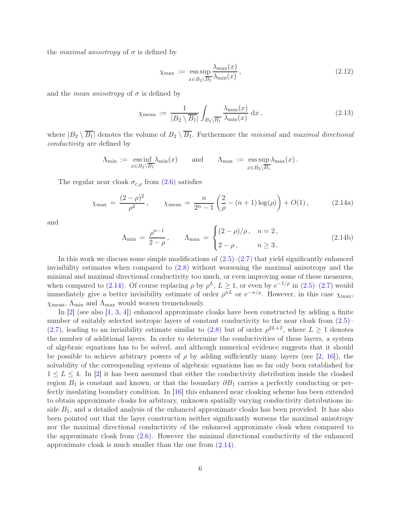the *maximal anisotropy* of  $\sigma$  is defined by

<span id="page-5-1"></span>
$$
\chi_{\max} := \underset{x \in B_2 \setminus \overline{B_1}}{\text{ess sup}} \frac{\lambda_{\max}(x)}{\lambda_{\min}(x)},\tag{2.12}
$$

and the *mean anisotropy* of  $\sigma$  is defined by

<span id="page-5-2"></span>
$$
\chi_{\text{mean}} := \frac{1}{|B_2 \setminus \overline{B_1}|} \int_{B_2 \setminus \overline{B_1}} \frac{\lambda_{\max}(x)}{\lambda_{\min}(x)} dx, \qquad (2.13)
$$

where  $|B_2 \setminus \overline{B_1}|$  denotes the volume of  $B_2 \setminus \overline{B_1}$ . Furthermore the minimal and maximal directional conductivity are defined by

$$
\Lambda_{\min} := \operatorname*{ess\,inf}_{x \in B_2 \setminus \overline{B_1}} \lambda_{\min}(x) \quad \text{and} \quad \Lambda_{\max} := \operatorname*{ess\,sup}_{x \in B_2 \setminus \overline{B_1}} \lambda_{\max}(x) .
$$

The regular near cloak  $\sigma_{c,\rho}$  from  $(2.6)$  satisfies

$$
\chi_{\text{max}} = \frac{(2-\rho)^2}{\rho^2}, \qquad \chi_{\text{mean}} = \frac{n}{2^n - 1} \left( \frac{2}{\rho} - (n+1) \log(\rho) \right) + O(1), \tag{2.14a}
$$

and

<span id="page-5-0"></span>
$$
\Lambda_{\min} = \frac{\rho^{n-1}}{2-\rho}, \qquad \Lambda_{\max} = \begin{cases} (2-\rho)/\rho, & n = 2, \\ 2-\rho, & n \ge 3. \end{cases}
$$
 (2.14b)

In this work we discuss some simple modifications of  $(2.5)-(2.7)$  $(2.5)-(2.7)$  that yield significantly enhanced invisibility estimates when compared to [\(2.8\)](#page-4-0) without worsening the maximal anisotropy and the minimal and maximal directional conductivity too much, or even improving some of these measures, when compared to [\(2.14\)](#page-5-0). Of course replacing  $\rho$  by  $\rho^L$ ,  $L \geq 1$ , or even by  $e^{-1/\rho}$  in [\(2.5\)](#page-3-3)–[\(2.7\)](#page-3-1) would immediately give a better invisibility estimate of order  $\rho^{nL}$  or  $e^{-n/\rho}$ . However, in this case  $\chi_{\text{max}}$ ,  $\chi$ <sub>mean</sub>,  $\Lambda$ <sub>min</sub> and  $\Lambda$ <sub>max</sub> would worsen tremendously.

In [\[2\]](#page-16-1) (see also [\[1,](#page-16-0) [3,](#page-16-2) [4\]](#page-16-3)) enhanced approximate cloaks have been constructed by adding a finite number of suitably selected isotropic layers of constant conductivity to the near cloak from  $(2.5)$ –  $(2.7)$ , leading to an invisibility estimate similar to  $(2.8)$  but of order  $\rho^{2L+2}$ , where  $L \ge 1$  denotes the number of additional layers. In order to determine the conductivities of these layers, a system of algebraic equations has to be solved, and although numerical evidence suggests that it should be possible to achieve arbitrary powers of  $\rho$  by adding sufficiently many layers (see [\[2,](#page-16-1) [16\]](#page-17-10)), the solvability of the corresponding systems of algebraic equations has so far only been established for  $1 \leq L \leq 4$ . In [\[2\]](#page-16-1) it has been assumed that either the conductivity distribution inside the cloaked region  $B_1$  is constant and known, or that the boundary  $\partial B_1$  carries a perfectly conducting or perfectly insulating boundary condition. In [\[16\]](#page-17-10) this enhanced near cloaking scheme has been extended to obtain approximate cloaks for arbitrary, unknown spatially varying conductivity distributions inside  $B_1$ , and a detailed analysis of the enhanced approximate cloaks has been provided. It has also been pointed out that the layer construction neither significantly worsens the maximal anisotropy nor the maximal directional conductivity of the enhanced approximate cloak when compared to the approximate cloak from [\(2.6\)](#page-3-2). However the minimal directional conductivity of the enhanced approximate cloak is much smaller than the one from [\(2.14\)](#page-5-0).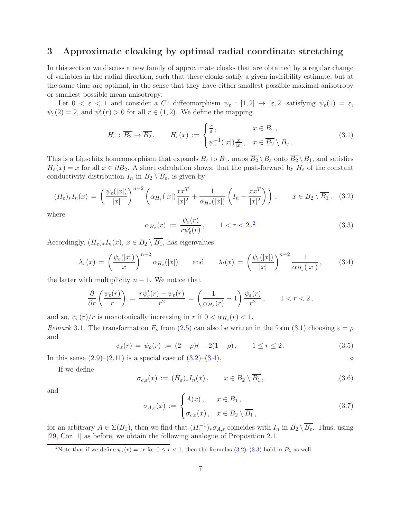## <span id="page-6-0"></span>3 Approximate cloaking by optimal radial coordinate stretching

In this section we discuss a new family of approximate cloaks that are obtained by a regular change of variables in the radial direction, such that these cloaks satify a given invisibility estimate, but at the same time are optimal, in the sense that they have either smallest possible maximal anisotropy or smallest possible mean anisotropy.

Let  $0 < \varepsilon < 1$  and consider a  $C^1$  diffeomorphism  $\psi_{\varepsilon} : [1,2] \to [\varepsilon,2]$  satisfying  $\psi_{\varepsilon}(1) = \varepsilon$ ,  $\psi_{\varepsilon}(2) = 2$ , and  $\psi_{\varepsilon}'(r) > 0$  for all  $r \in (1, 2)$ . We define the mapping

<span id="page-6-2"></span>
$$
H_{\varepsilon}: \overline{B_2} \to \overline{B_2}, \qquad H_{\varepsilon}(x) := \begin{cases} \frac{x}{\varepsilon}, & x \in B_{\varepsilon}, \\ \psi_{\varepsilon}^{-1}(|x|) \frac{x}{|x|}, & x \in \overline{B_2} \setminus B_{\varepsilon}. \end{cases}
$$
(3.1)

This is a Lipschitz homeomorphism that expands  $B_{\varepsilon}$  to  $B_1$ , maps  $\overline{B_2} \setminus B_{\varepsilon}$  onto  $\overline{B_2} \setminus B_1$ , and satisfies  $H_{\varepsilon}(x) = x$  for all  $x \in \partial B_2$ . A short calculation shows, that the push-forward by  $H_{\varepsilon}$  of the constant conductivity distribution  $I_n$  in  $B_2 \setminus \overline{B_\varepsilon}$ , is given by

<span id="page-6-3"></span>
$$
(H_{\varepsilon})_* I_n(x) = \left(\frac{\psi_{\varepsilon}(|x|)}{|x|}\right)^{n-2} \left(\alpha_{H_{\varepsilon}}(|x|) \frac{x x^T}{|x|^2} + \frac{1}{\alpha_{H_{\varepsilon}}(|x|)} \left(I_n - \frac{x x^T}{|x|^2}\right)\right), \qquad x \in B_2 \setminus \overline{B_1}, \quad (3.2)
$$

where

<span id="page-6-5"></span>
$$
\alpha_{H_{\varepsilon}}(r) := \frac{\psi_{\varepsilon}(r)}{r\psi_{\varepsilon}'(r)}, \qquad 1 < r < 2.2 \tag{3.3}
$$

Accordingly,  $(H_{\varepsilon})_*I_n(x), x \in B_2 \setminus \overline{B_1}$ , has eigenvalues

<span id="page-6-4"></span>
$$
\lambda_r(x) = \left(\frac{\psi_{\varepsilon}(|x|)}{|x|}\right)^{n-2} \alpha_{H_{\varepsilon}}(|x|) \quad \text{and} \quad \lambda_t(x) = \left(\frac{\psi_{\varepsilon}(|x|)}{|x|}\right)^{n-2} \frac{1}{\alpha_{H_{\varepsilon}}(|x|)}, \quad (3.4)
$$

the latter with multiplicity  $n-1$ . We notice that

$$
\frac{\partial}{\partial r}\left(\frac{\psi_{\varepsilon}(r)}{r}\right) = \frac{r\psi_{\varepsilon}'(r) - \psi_{\varepsilon}(r)}{r^2} = \left(\frac{1}{\alpha_{H_{\varepsilon}}(r)} - 1\right)\frac{\psi_{\varepsilon}(r)}{r^2}, \qquad 1 < r < 2,
$$

and so,  $\psi_{\varepsilon}(r)/r$  is monotonically increasing in r if  $0 < \alpha_{H_{\varepsilon}}(r) < 1$ .

Remark 3.1. The transformation  $F_{\rho}$  from [\(2.5\)](#page-3-3) can also be written in the form [\(3.1\)](#page-6-2) choosing  $\varepsilon = \rho$ and

<span id="page-6-8"></span>
$$
\psi_{\varepsilon}(r) = \psi_{\rho}(r) := (2 - \rho)r - 2(1 - \rho), \qquad 1 \le r \le 2. \tag{3.5}
$$

In this sense [\(2.9\)](#page-4-1)–[\(2.11\)](#page-4-2) is a special case of [\(3.2\)](#page-6-3)–[\(3.4\)](#page-6-4). ⋄

If we define

<span id="page-6-7"></span>
$$
\sigma_{c,\varepsilon}(x) := (H_{\varepsilon})_* I_n(x), \qquad x \in B_2 \setminus \overline{B_1}, \tag{3.6}
$$

and

<span id="page-6-6"></span>
$$
\sigma_{A,\varepsilon}(x) := \begin{cases} A(x), & x \in B_1, \\ \sigma_{c,\varepsilon}(x), & x \in B_2 \setminus \overline{B_1}, \end{cases}
$$
\n(3.7)

for an arbitrary  $A \in \Sigma(B_1)$ , then we find that  $(H_{\varepsilon}^{-1})_* \sigma_{A,\varepsilon}$  coincides with  $I_n$  in  $B_2 \setminus \overline{B_{\varepsilon}}$ . Thus, using [\[29,](#page-18-9) Cor. 1] as before, we obtain the following analogue of Proposition [2.1.](#page-4-3)

<span id="page-6-1"></span><sup>&</sup>lt;sup>2</sup>Note that if we define  $\psi_{\varepsilon}(r) = \varepsilon r$  for  $0 \leq r < 1$ , then the formulas [\(3.2\)](#page-6-3)–[\(3.3\)](#page-6-5) hold in  $B_1$  as well.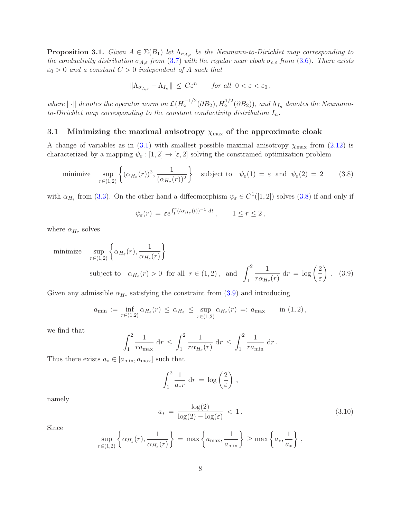<span id="page-7-2"></span>**Proposition 3.1.** Given  $A \in \Sigma(B_1)$  let  $\Lambda_{\sigma_{A,\varepsilon}}$  be the Neumann-to-Dirichlet map corresponding to the conductivity distribution  $\sigma_{A,\varepsilon}$  from [\(3.7\)](#page-6-6) with the regular near cloak  $\sigma_{c,\varepsilon}$  from [\(3.6\)](#page-6-7). There exists  $\varepsilon_0 > 0$  and a constant  $C > 0$  independent of A such that

$$
\|\Lambda_{\sigma_{A,\varepsilon}} - \Lambda_{I_n}\| \le C\varepsilon^n \quad \text{for all } 0 < \varepsilon < \varepsilon_0,
$$

where  $\|\cdot\|$  denotes the operator norm on  $\mathcal{L}(H_o^{-1/2}(\partial B_2), H_o^{1/2}(\partial B_2))$ , and  $\Lambda_{I_n}$  denotes the Neumannto-Dirichlet map corresponding to the constant conductivity distribution  $I_n$ .

#### <span id="page-7-4"></span>3.1 Minimizing the maximal anisotropy  $\chi_{\text{max}}$  of the approximate cloak

A change of variables as in  $(3.1)$  with smallest possible maximal anisotropy  $\chi_{\text{max}}$  from  $(2.12)$  is characterized by a mapping  $\psi_{\varepsilon} : [1, 2] \to [\varepsilon, 2]$  solving the constrained optimization problem

<span id="page-7-0"></span>minimize 
$$
\sup_{r \in (1,2)} \left\{ (\alpha_{H_{\varepsilon}}(r))^2, \frac{1}{(\alpha_{H_{\varepsilon}}(r))^2} \right\}
$$
 subject to  $\psi_{\varepsilon}(1) = \varepsilon$  and  $\psi_{\varepsilon}(2) = 2$  (3.8)

with  $\alpha_{H_{\varepsilon}}$  from [\(3.3\)](#page-6-5). On the other hand a diffeomorphism  $\psi_{\varepsilon} \in C^{1}([1,2])$  solves [\(3.8\)](#page-7-0) if and only if

$$
\psi_{\varepsilon}(r) = \varepsilon e^{\int_1^r (t\alpha_{H_{\varepsilon}}(t))^{-1} \, \mathrm{d}t}, \qquad 1 \le r \le 2,
$$

where  $\alpha_{H_{\varepsilon}}$  solves

minimize 
$$
\sup_{r \in (1,2)} \left\{ \alpha_{H_{\varepsilon}}(r), \frac{1}{\alpha_{H_{\varepsilon}}(r)} \right\}
$$
  
subject to  $\alpha_{H_{\varepsilon}}(r) > 0$  for all  $r \in (1,2)$ , and  $\int_{1}^{2} \frac{1}{r \alpha_{H_{\varepsilon}}(r)} dr = \log \left( \frac{2}{\varepsilon} \right)$ . (3.9)

Given any admissible  $\alpha_{H_{\varepsilon}}$  satisfying the constraint from [\(3.9\)](#page-7-1) and introducing

$$
a_{\min} := \inf_{r \in (1,2)} \alpha_{H_{\varepsilon}}(r) \leq \alpha_{H_{\varepsilon}} \leq \sup_{r \in (1,2)} \alpha_{H_{\varepsilon}}(r) =: a_{\max} \quad \text{in (1,2),}
$$

we find that

$$
\int_1^2 \frac{1}{r a_{\max}} dr \le \int_1^2 \frac{1}{r \alpha_{H_{\varepsilon}}(r)} dr \le \int_1^2 \frac{1}{r a_{\min}} dr.
$$

Thus there exists  $a_* \in [a_{\min}, a_{\max}]$  such that

<span id="page-7-1"></span>
$$
\int_1^2 \frac{1}{a_* r} dr = \log \left(\frac{2}{\varepsilon}\right),
$$

namely

<span id="page-7-3"></span>
$$
a_* = \frac{\log(2)}{\log(2) - \log(\varepsilon)} < 1. \tag{3.10}
$$

Since

$$
\sup_{r \in (1,2)} \left\{ \alpha_{H_{\varepsilon}}(r), \frac{1}{\alpha_{H_{\varepsilon}}(r)} \right\} = \max \left\{ a_{\max}, \frac{1}{a_{\min}} \right\} \ge \max \left\{ a_{*}, \frac{1}{a_{*}} \right\},\,
$$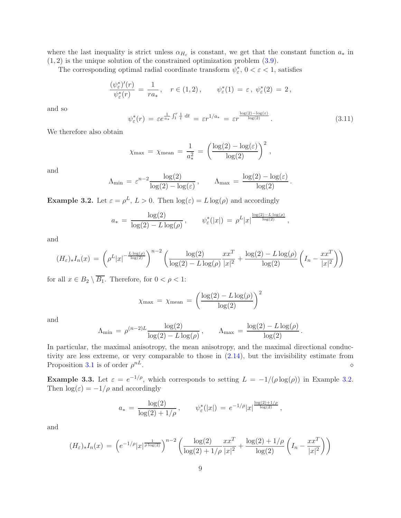where the last inequality is strict unless  $\alpha_{H_{\varepsilon}}$  is constant, we get that the constant function  $a_*$  in  $(1, 2)$  is the unique solution of the constrained optimization problem  $(3.9)$ .

The corresponding optimal radial coordinate transform  $\psi_{\varepsilon}^*,\, 0<\varepsilon<1,$  satisfies

$$
\frac{(\psi_{\varepsilon}^*)'(r)}{\psi_{\varepsilon}^*(r)} = \frac{1}{ra_*}, \quad r \in (1,2), \qquad \psi_{\varepsilon}^*(1) = \varepsilon, \ \psi_{\varepsilon}^*(2) = 2,
$$

and so

<span id="page-8-1"></span>
$$
\psi_{\varepsilon}^*(r) = \varepsilon e^{\frac{1}{a*}\int_1^r \frac{1}{t} dt} = \varepsilon r^{1/a_*} = \varepsilon r^{\frac{\log(2) - \log(\varepsilon)}{\log(2)}}.
$$
\n(3.11)

We therefore also obtain

$$
\chi_{\text{max}} = \chi_{\text{mean}} = \frac{1}{a_*^2} = \left(\frac{\log(2) - \log(\varepsilon)}{\log(2)}\right)^2,
$$

and

$$
\Lambda_{\min} = \varepsilon^{n-2} \frac{\log(2)}{\log(2) - \log(\varepsilon)}, \qquad \Lambda_{\max} = \frac{\log(2) - \log(\varepsilon)}{\log(2)}.
$$

<span id="page-8-0"></span>**Example 3.2.** Let  $\varepsilon = \rho^L$ ,  $L > 0$ . Then  $\log(\varepsilon) = L \log(\rho)$  and accordingly

$$
a_* = \frac{\log(2)}{\log(2) - L \log(\rho)}, \qquad \psi_{\varepsilon}^*(|x|) = \rho^L |x|^{\frac{\log(2) - L \log(\rho)}{\log(2)}},
$$

and

$$
(H_{\varepsilon})_* I_n(x) = \left( \rho^L |x|^{-\frac{L \log(\rho)}{\log(2)}} \right)^{n-2} \left( \frac{\log(2)}{\log(2) - L \log(\rho)} \frac{x x^T}{|x|^2} + \frac{\log(2) - L \log(\rho)}{\log(2)} \left( I_n - \frac{x x^T}{|x|^2} \right) \right)
$$

for all  $x \in B_2 \setminus \overline{B_1}$ . Therefore, for  $0 < \rho < 1$ :

$$
\chi_{\max} = \chi_{\text{mean}} = \left(\frac{\log(2) - L \log(\rho)}{\log(2)}\right)^2
$$

and

$$
\Lambda_{\min} = \rho^{(n-2)L} \frac{\log(2)}{\log(2) - L \log(\rho)}, \qquad \Lambda_{\max} = \frac{\log(2) - L \log(\rho)}{\log(2)}.
$$

In particular, the maximal anisotropy, the mean anisotropy, and the maximal directional conductivity are less extreme, or very comparable to those in [\(2.14\)](#page-5-0), but the invisibility estimate from Proposition [3.1](#page-7-2) is of order  $\rho^{nL}$ .  $nL$ .

**Example 3.3.** Let  $\varepsilon = e^{-1/\rho}$ , which corresponds to setting  $L = -1/(\rho \log(\rho))$  in Example [3.2.](#page-8-0) Then  $\log(\varepsilon) = -1/\rho$  and accordingly

$$
a_* = \frac{\log(2)}{\log(2) + 1/\rho}, \qquad \psi_{\varepsilon}^*(|x|) = e^{-1/\rho} |x|^{\frac{\log(2) + 1/\rho}{\log(2)}},
$$

and

$$
(H_{\varepsilon})_* I_n(x) = \left( e^{-1/\rho} |x|^{\frac{1}{\rho \log(2)}} \right)^{n-2} \left( \frac{\log(2)}{\log(2) + 1/\rho} \frac{x x^T}{|x|^2} + \frac{\log(2) + 1/\rho}{\log(2)} \left( I_n - \frac{x x^T}{|x|^2} \right) \right)
$$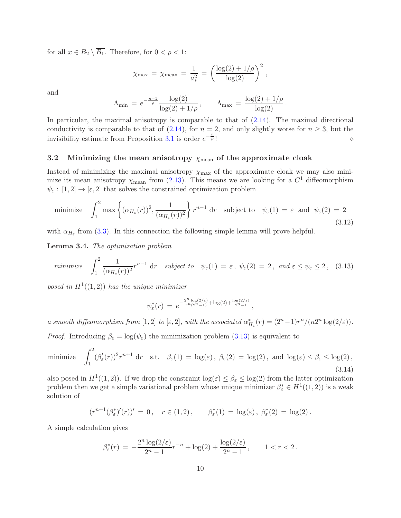for all  $x \in B_2 \setminus \overline{B_1}$ . Therefore, for  $0 < \rho < 1$ :

$$
\chi_{\text{max}} = \chi_{\text{mean}} = \frac{1}{a_*^2} = \left(\frac{\log(2) + 1/\rho}{\log(2)}\right)^2,
$$

and

$$
\Lambda_{\min} = e^{-\frac{n-2}{\rho}} \frac{\log(2)}{\log(2) + 1/\rho}, \qquad \Lambda_{\max} = \frac{\log(2) + 1/\rho}{\log(2)}.
$$

In particular, the maximal anisotropy is comparable to that of [\(2.14\)](#page-5-0). The maximal directional conductivity is comparable to that of [\(2.14\)](#page-5-0), for  $n = 2$ , and only slightly worse for  $n \geq 3$ , but the invisibility estimate from Proposition [3.1](#page-7-2) is order  $e^{-\frac{n}{\rho}}$  $\overline{p}$  !  $\Diamond$ 

### <span id="page-9-3"></span>3.2 Minimizing the mean anisotropy  $\chi_{\text{mean}}$  of the approximate cloak

Instead of minimizing the maximal anisotropy  $\chi_{\text{max}}$  of the approximate cloak we may also minimize its mean anisotropy  $\chi$ <sub>mean</sub> from [\(2.13\)](#page-5-2). This means we are looking for a  $C<sup>1</sup>$  diffeomorphism  $\psi_{\varepsilon} : [1,2] \to [\varepsilon,2]$  that solves the constrained optimization problem

<span id="page-9-2"></span>minimize 
$$
\int_1^2 \max \left\{ (\alpha_{H_\varepsilon}(r))^2, \frac{1}{(\alpha_{H_\varepsilon}(r))^2} \right\} r^{n-1} dr
$$
 subject to  $\psi_\varepsilon(1) = \varepsilon$  and  $\psi_\varepsilon(2) = 2$  (3.12)

with  $\alpha_{H_{\varepsilon}}$  from [\(3.3\)](#page-6-5). In this connection the following simple lemma will prove helpful.

<span id="page-9-4"></span>Lemma 3.4. The optimization problem

<span id="page-9-0"></span>minimize 
$$
\int_1^2 \frac{1}{(\alpha_{H_\varepsilon}(r))^2} r^{n-1} dr
$$
 subject to  $\psi_\varepsilon(1) = \varepsilon$ ,  $\psi_\varepsilon(2) = 2$ , and  $\varepsilon \le \psi_\varepsilon \le 2$ , (3.13)

posed in  $H^1((1,2))$  has the unique minimizer

$$
\psi_{\varepsilon}^*(r) = e^{-\frac{2^n \log(2/\varepsilon)}{r^n (2^n - 1)} + \log(2) + \frac{\log(2/\varepsilon)}{2^n - 1}},
$$

a smooth diffeomorphism from [1, 2] to [ε, 2], with the associated  $\alpha_{H_{\varepsilon}}^*(r) = (2^n - 1)r^n/(n2^n \log(2/\varepsilon)).$ *Proof.* Introducing  $\beta_{\varepsilon} = \log(\psi_{\varepsilon})$  the minimization problem [\(3.13\)](#page-9-0) is equivalent to

<span id="page-9-1"></span>minimize 
$$
\int_1^2 (\beta_{\varepsilon}'(r))^2 r^{n+1} dr
$$
 s.t.  $\beta_{\varepsilon}(1) = \log(\varepsilon), \ \beta_{\varepsilon}(2) = \log(2)$ , and  $\log(\varepsilon) \le \beta_{\varepsilon} \le \log(2)$ ,  $(3.14)$ 

also posed in  $H^1((1,2))$ . If we drop the constraint  $\log(\varepsilon) \leq \beta_{\varepsilon} \leq \log(2)$  from the latter optimization problem then we get a simple variational problem whose unique minimizer  $\beta_{\varepsilon}^* \in H^1((1,2))$  is a weak solution of

$$
(r^{n+1}(\beta_{\varepsilon}^*)'(r))' = 0, \quad r \in (1,2), \qquad \beta_{\varepsilon}^*(1) = \log(\varepsilon), \ \beta_{\varepsilon}^*(2) = \log(2).
$$

A simple calculation gives

$$
\beta_{\varepsilon}^*(r) \, = \, -\frac{2^n \log(2/\varepsilon)}{2^n - 1} r^{-n} + \log(2) + \frac{\log(2/\varepsilon)}{2^n - 1}, \qquad 1 < r < 2 \, .
$$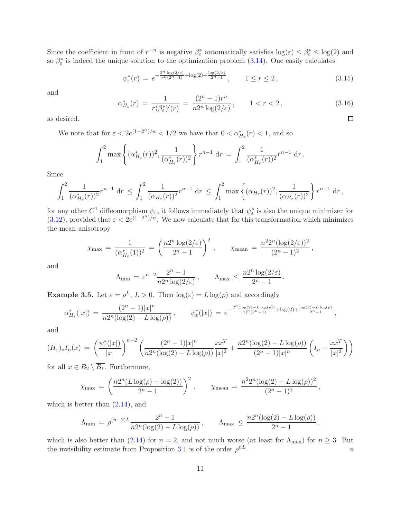Since the coefficient in front of  $r^{-n}$  is negative  $\beta_{\varepsilon}^*$  automatically satisfies  $\log(\varepsilon) \leq \beta_{\varepsilon}^* \leq \log(2)$  and so  $\beta_{\varepsilon}^*$  is indeed the unique solution to the optimization problem [\(3.14\)](#page-9-1). One easily calculates

<span id="page-10-0"></span>
$$
\psi_{\varepsilon}^*(r) = e^{-\frac{2^n \log(2/\varepsilon)}{r^n (2^n - 1)} + \log(2) + \frac{\log(2/\varepsilon)}{2^n - 1}}, \qquad 1 \le r \le 2, \tag{3.15}
$$

and

<span id="page-10-2"></span>
$$
\alpha_{H_{\varepsilon}}^*(r) = \frac{1}{r(\beta_{\varepsilon}^*)'(r)} = \frac{(2^n - 1)r^n}{n2^n \log(2/\varepsilon)}, \qquad 1 < r < 2,\tag{3.16}
$$

.

 $\Box$ 

as desired.

We note that for  $\varepsilon < 2e^{(1-2^n)/n} < 1/2$  we have that  $0 < \alpha_{H_{\varepsilon}}^*(r) < 1$ , and so

$$
\int_1^2 \max \left\{ (\alpha_{H_{\varepsilon}}^*(r))^2, \frac{1}{(\alpha_{H_{\varepsilon}}^*(r))^2} \right\} r^{n-1} dr = \int_1^2 \frac{1}{(\alpha_{H_{\varepsilon}}^*(r))^2} r^{n-1} dr.
$$

Since

$$
\int_1^2 \frac{1}{(\alpha_{H_\varepsilon}^*(r))^2} r^{n-1} \, dr \le \int_1^2 \frac{1}{(\alpha_{H_\varepsilon}(r))^2} r^{n-1} \, dr \le \int_1^2 \max\left\{ (\alpha_{H_\varepsilon}(r))^2, \frac{1}{(\alpha_{H_\varepsilon}(r))^2} \right\} r^{n-1} \, dr,
$$

for any other  $C^1$  diffeomorphism  $\psi_{\varepsilon}$ , it follows immediately that  $\psi_{\varepsilon}^*$  is also the unique minimizer for [\(3.12\)](#page-9-2), provided that  $\varepsilon < 2e^{(1-2^n)/n}$ . We now calculate that for this transformation which minimizes the mean anisotropy

$$
\chi_{\max} = \frac{1}{(\alpha_{H_{\varepsilon}}^*(1))^2} = \left(\frac{n2^n \log(2/\varepsilon)}{2^n - 1}\right)^2, \qquad \chi_{\text{mean}} = \frac{n^2 2^n (\log(2/\varepsilon))^2}{(2^n - 1)^2},
$$

and

$$
\Lambda_{\min} = \varepsilon^{n-2} \frac{2^n - 1}{n 2^n \log(2/\varepsilon)}, \qquad \Lambda_{\max} \le \frac{n 2^n \log(2/\varepsilon)}{2^n - 1}
$$

<span id="page-10-1"></span>**Example 3.5.** Let  $\varepsilon = \rho^L$ ,  $L > 0$ . Then  $\log(\varepsilon) = L \log(\rho)$  and accordingly

$$
\alpha_{H_{\varepsilon}}^{*}(|x|) = \frac{(2^{n}-1)|x|^{n}}{n2^{n}(\log(2)-L\log(\rho))}, \qquad \psi_{\varepsilon}^{*}(|x|) = e^{-\frac{2^{n}(\log(2)-L\log(\rho))}{|x|^{n}(2^{n}-1)} + \log(2) + \frac{\log(2)-L\log(\rho)}{2^{n}-1}},
$$

and

$$
(H_{\varepsilon})_* I_n(x) = \left(\frac{\psi_{\varepsilon}^*(|x|)}{|x|}\right)^{n-2} \left(\frac{(2^n-1)|x|^n}{n2^n(\log(2)-L\log(\rho))}\frac{xx^T}{|x|^2} + \frac{n2^n(\log(2)-L\log(\rho))}{(2^n-1)|x|^n}\left(I_n - \frac{xx^T}{|x|^2}\right)\right)
$$

for all  $x \in B_2 \setminus B_1$ . Furthermore,

$$
\chi_{\max} = \left(\frac{n2^n (L \log(\rho) - \log(2))}{2^n - 1}\right)^2, \qquad \chi_{\text{mean}} = \frac{n^2 2^n (\log(2) - L \log(\rho))^2}{(2^n - 1)^2},
$$

which is better than  $(2.14)$ , and

$$
\Lambda_{\min} \,=\, \rho^{(n-2)L} \frac{2^n-1}{n 2^n (\log(2)-L\log(\rho))} \,, \qquad \Lambda_{\max} \,\leq\, \frac{n 2^n (\log(2)-L\log(\rho))}{2^n-1} \,,
$$

which is also better than [\(2.14\)](#page-5-0) for  $n = 2$ , and not much worse (at least for  $\Lambda_{\text{max}}$ ) for  $n \geq 3$ . But the invisibility estimate from Proposition [3.1](#page-7-2) is of the order  $\rho^{nL}$ .  $nL$ .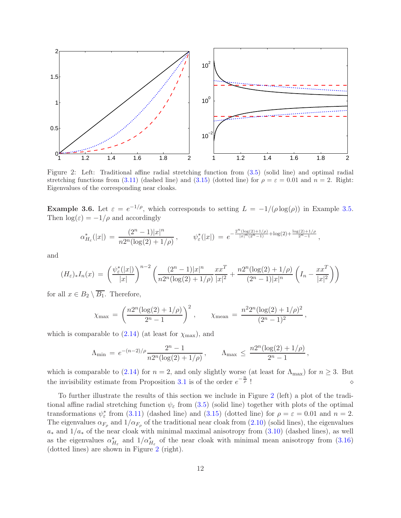

<span id="page-11-0"></span>Figure 2: Left: Traditional affine radial stretching function from [\(3.5\)](#page-6-8) (solid line) and optimal radial stretching functions from [\(3.11\)](#page-8-1) (dashed line) and [\(3.15\)](#page-10-0) (dotted line) for  $\rho = \varepsilon = 0.01$  and  $n = 2$ . Right: Eigenvalues of the corresponding near cloaks.

**Example 3.6.** Let  $\varepsilon = e^{-1/\rho}$ , which corresponds to setting  $L = -1/(\rho \log(\rho))$  in Example [3.5.](#page-10-1) Then  $\log(\varepsilon) = -1/\rho$  and accordingly

$$
\alpha_{H_{\varepsilon}}^*(|x|) = \frac{(2^n - 1)|x|^n}{n2^n(\log(2) + 1/\rho)}, \qquad \psi_{\varepsilon}^*(|x|) = e^{-\frac{2^n(\log(2) + 1/\rho)}{|x|^n(2^n - 1)} + \log(2) + \frac{\log(2) + 1/\rho}{2^n - 1}},
$$

and

$$
(H_{\varepsilon})_* I_n(x) = \left(\frac{\psi_{\varepsilon}^*(|x|)}{|x|}\right)^{n-2} \left(\frac{(2^n-1)|x|^n}{n2^n(\log(2)+1/\rho)}\frac{xx^T}{|x|^2} + \frac{n2^n(\log(2)+1/\rho)}{(2^n-1)|x|^n} \left(I_n - \frac{xx^T}{|x|^2}\right)\right)
$$

for all  $x \in B_2 \setminus \overline{B_1}$ . Therefore,

$$
\chi_{\max} = \left(\frac{n2^n(\log(2) + 1/\rho)}{2^n - 1}\right)^2, \qquad \chi_{\text{mean}} = \frac{n^2 2^n(\log(2) + 1/\rho)^2}{(2^n - 1)^2},
$$

which is comparable to  $(2.14)$  (at least for  $\chi_{\text{max}}$ ), and

$$
\Lambda_{\min} \,=\, e^{-(n-2)/\rho} \frac{2^n-1}{n 2^n (\log(2)+1/\rho)}\,, \qquad \Lambda_{\max} \,\leq\, \frac{n 2^n (\log(2)+1/\rho)}{2^n-1}\,,
$$

which is comparable to [\(2.14\)](#page-5-0) for  $n = 2$ , and only slightly worse (at least for  $\Lambda_{\text{max}}$ ) for  $n \geq 3$ . But the invisibility estimate from Proposition [3.1](#page-7-2) is of the order  $e^{-\frac{n}{\rho}}$  $\overline{p}$  !  $\Diamond$ 

To further illustrate the results of this section we include in Figure [2](#page-11-0) (left) a plot of the traditional affine radial stretching function  $\psi_{\varepsilon}$  from [\(3.5\)](#page-6-8) (solid line) together with plots of the optimal transformations  $\psi_{\varepsilon}^*$  from [\(3.11\)](#page-8-1) (dashed line) and [\(3.15\)](#page-10-0) (dotted line) for  $\rho = \varepsilon = 0.01$  and  $n = 2$ . The eigenvalues  $\alpha_{F_{\rho}}$  and  $1/\alpha_{F_{\rho}}$  of the traditional near cloak from  $(2.10)$  (solid lines), the eigenvalues  $a_*$  and  $1/a_*$  of the near cloak with minimal maximal anisotropy from  $(3.10)$  (dashed lines), as well as the eigenvalues  $\alpha_{H_{\varepsilon}}^*$  and  $1/\alpha_{H_{\varepsilon}}^*$  of the near cloak with minimal mean anisotropy from [\(3.16\)](#page-10-2) (dotted lines) are shown in Figure [2](#page-11-0) (right).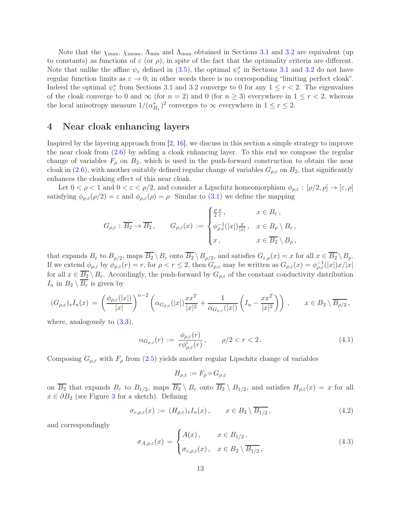Note that the  $\chi_{\text{max}}$ ,  $\chi_{\text{mean}}$ ,  $\Lambda_{\text{min}}$  and  $\Lambda_{\text{max}}$  obtained in Sections [3.1](#page-7-4) and [3.2](#page-9-3) are equivalent (up to constants) as functions of  $\varepsilon$  (or  $\rho$ ), in spite of the fact that the optimality criteria are different. Note that unlike the affine  $\psi_{\varepsilon}$  defined in [\(3.5\)](#page-6-8), the optimal  $\psi_{\varepsilon}^*$  in Sections [3.1](#page-7-4) and [3.2](#page-9-3) do not have regular function limits as  $\varepsilon \to 0$ ; in other words there is no corresponding "limiting perfect cloak". Indeed the optimal  $\psi_{\varepsilon}^*$  from Sections 3.1 and 3.2 converge to 0 for any  $1 \leq r < 2$ . The eigenvalues of the cloak converge to 0 and  $\infty$  (for  $n = 2$ ) and 0 (for  $n \ge 3$ ) everywhere in  $1 \le r < 2$ , whereas the local anisotropy measure  $1/(\alpha_{H_{\varepsilon}}^*)^2$  converges to  $\infty$  everywhere in  $1 \le r \le 2$ .

### <span id="page-12-0"></span>4 Near cloak enhancing layers

Inspired by the layering approach from  $[2, 16]$  $[2, 16]$ , we discuss in this section a simple strategy to improve the near cloak from [\(2.6\)](#page-3-2) by adding a cloak enhancing layer. To this end we compose the regular change of variables  $F_{\rho}$  on  $B_2$ , which is used in the push-forward construction to obtain the near cloak in [\(2.6\)](#page-3-2), with another suitably defined regular change of variables  $G_{\rho,\varepsilon}$  on  $B_2$ , that significantly enhances the cloaking effect of this near cloak.

Let  $0 < \rho < 1$  and  $0 < \varepsilon < \rho/2$ , and consider a Lipschitz homeomorphism  $\phi_{\rho,\varepsilon} : [\rho/2,\rho] \to [\varepsilon,\rho]$ satisfying  $\phi_{\rho,\varepsilon}(\rho/2) = \varepsilon$  and  $\phi_{\rho,\varepsilon}(\rho) = \rho$ . Similar to [\(3.1\)](#page-6-2) we define the mapping

$$
G_{\rho,\varepsilon}: \overline{B_2} \to \overline{B_2}, \qquad G_{\rho,\varepsilon}(x) := \begin{cases} \frac{\rho}{2} \frac{x}{\varepsilon}, & x \in B_{\varepsilon}, \\ \phi_{\rho,\varepsilon}^{-1}(|x|) \frac{x}{|x|}, & x \in B_{\rho} \setminus B_{\varepsilon}, \\ x, & x \in \overline{B_2} \setminus B_{\rho}, \end{cases}
$$

that expands  $B_{\varepsilon}$  to  $B_{\rho/2}$ , maps  $B_2 \setminus B_{\varepsilon}$  onto  $B_2 \setminus B_{\rho/2}$ , and satisfies  $G_{\varepsilon,\rho}(x) = x$  for all  $x \in B_2 \setminus B_{\rho}$ . If we extend  $\phi_{\rho,\varepsilon}$  by  $\phi_{\rho,\varepsilon}(r) = r$ , for  $\rho \le r \le 2$ , then  $G_{\rho,\varepsilon}$  may be written as  $G_{\rho,\varepsilon}(x) = \phi_{\rho,\varepsilon}^{-1}(|x|)x/|x|$ for all  $x \in \overline{B_2} \setminus B_\varepsilon$ . Accordingly, the push-forward by  $G_{\rho,\varepsilon}$  of the constant conductivity distribution  $I_n$  in  $B_2 \setminus \overline{B_\varepsilon}$  is given by

$$
(G_{\rho,\varepsilon})_* I_n(x) = \left(\frac{\phi_{\rho,\varepsilon}(|x|)}{|x|}\right)^{n-2} \left(\alpha_{G_{\rho,\varepsilon}}(|x|) \frac{x x^T}{|x|^2} + \frac{1}{\alpha_{G_{\rho,\varepsilon}}(|x|)} \left(I_n - \frac{x x^T}{|x|^2}\right)\right), \qquad x \in B_2 \setminus \overline{B_{\rho/2}},
$$

where, analogously to  $(3.3)$ ,

<span id="page-12-3"></span>
$$
\alpha_{G_{\rho,\varepsilon}}(r) := \frac{\phi_{\rho,\varepsilon}(r)}{r\phi_{\rho,\varepsilon}'(r)}, \qquad \rho/2 < r < 2. \tag{4.1}
$$

Composing  $G_{\rho,\varepsilon}$  with  $F_{\rho}$  from [\(2.5\)](#page-3-3) yields another regular Lipschitz change of variables

$$
H_{\rho,\varepsilon} := F_{\rho} \circ G_{\rho,\varepsilon}
$$

on  $B_2$  that expands  $B_\varepsilon$  to  $B_{1/2}$ , maps  $B_2 \setminus B_\varepsilon$  onto  $B_2 \setminus B_{1/2}$ , and satisfies  $H_{\rho,\varepsilon}(x) = x$  for all  $x \in \partial B_2$  (see Figure [3](#page-13-0) for a sketch). Defining

<span id="page-12-2"></span>
$$
\sigma_{c,\rho,\varepsilon}(x) := (H_{\rho,\varepsilon})_* I_n(x), \qquad x \in B_2 \setminus \overline{B_{1/2}}, \qquad (4.2)
$$

and correspondingly

<span id="page-12-1"></span>
$$
\sigma_{A,\rho,\varepsilon}(x) = \begin{cases} A(x), & x \in B_{1/2} \,, \\ \sigma_{c,\rho,\varepsilon}(x), & x \in B_2 \setminus \overline{B_{1/2}} \,, \end{cases} \tag{4.3}
$$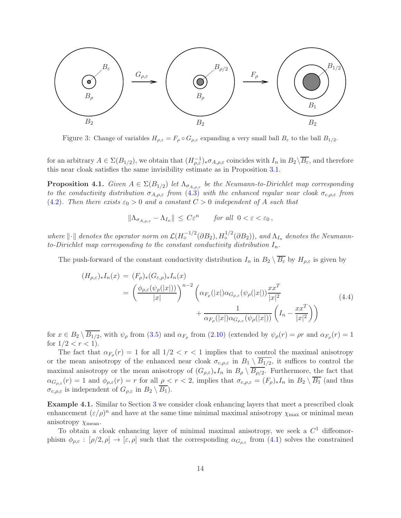

<span id="page-13-0"></span>Figure 3: Change of variables  $H_{\rho,\varepsilon} = F_{\rho} \circ G_{\rho,\varepsilon}$  expanding a very small ball  $B_{\varepsilon}$  to the ball  $B_{1/2}$ .

for an arbitrary  $A \in \Sigma(B_{1/2})$ , we obtain that  $(H_{\rho,\varepsilon}^{-1})_* \sigma_{A,\rho,\varepsilon}$  coincides with  $I_n$  in  $B_2 \setminus \overline{B_\varepsilon}$ , and therefore this near cloak satisfies the same invisibility estimate as in Proposition [3.1.](#page-7-2)

**Proposition 4.1.** Given  $A \in \Sigma(B_{1/2})$  let  $\Lambda_{\sigma_{A,\rho,\varepsilon}}$  be the Neumann-to-Dirichlet map corresponding to the conductivity distribution  $\sigma_{A,\rho,\varepsilon}$  from  $(4.3)$  with the enhanced regular near cloak  $\sigma_{c,\rho,\varepsilon}$  from [\(4.2\)](#page-12-2). Then there exists  $\varepsilon_0 > 0$  and a constant  $C > 0$  independent of A such that

$$
\|\Lambda_{\sigma_{A,\rho,\varepsilon}} - \Lambda_{I_n}\| \le C\varepsilon^n \quad \text{for all } 0 < \varepsilon < \varepsilon_0,
$$

where  $\|\cdot\|$  denotes the operator norm on  $\mathcal{L}(H_o^{-1/2}(\partial B_2), H_o^{1/2}(\partial B_2))$ , and  $\Lambda_{I_n}$  denotes the Neumannto-Dirichlet map corresponding to the constant conductivity distribution  $I_n$ .

The push-forward of the constant conductivity distribution  $I_n$  in  $B_2 \setminus \overline{B_\varepsilon}$  by  $H_{\rho,\varepsilon}$  is given by

$$
(H_{\rho,\varepsilon})_* I_n(x) = (F_{\rho})_* (G_{\varepsilon,\rho})_* I_n(x)
$$
  

$$
= \left(\frac{\phi_{\rho,\varepsilon}(\psi_{\rho}(|x|))}{|x|}\right)^{n-2} \left(\alpha_{F_{\rho}}(|x|) \alpha_{G_{\rho,\varepsilon}}(\psi_{\rho}(|x|)) \frac{x x^T}{|x|^2} + \frac{1}{\alpha_{F_{\rho}}(|x|) \alpha_{G_{\rho,\varepsilon}}(\psi_{\rho}(|x|))} \left(I_n - \frac{x x^T}{|x|^2}\right)\right)
$$
(4.4)

<span id="page-13-1"></span>for  $x \in B_2 \setminus B_{1/2}$ , with  $\psi_\rho$  from [\(3.5\)](#page-6-8) and  $\alpha_{F_\rho}$  from [\(2.10\)](#page-4-4) (extended by  $\psi_\rho(r) = \rho r$  and  $\alpha_{F_\rho}(r) = 1$ for  $1/2 < r < 1$ .

The fact that  $\alpha_{F_{\rho}}(r) = 1$  for all  $1/2 < r < 1$  implies that to control the maximal anisotropy or the mean anisotropy of the enhanced near cloak  $\sigma_{c,\rho,\varepsilon}$  in  $B_1 \setminus B_{1/2}$ , it suffices to control the maximal anisotropy or the mean anisotropy of  $(G_{\rho,\varepsilon})_*I_n$  in  $B_\rho\setminus B_{\rho/2}$ . Furthermore, the fact that  $\alpha_{G_{\rho,\varepsilon}}(r) = 1$  and  $\phi_{\rho,\varepsilon}(r) = r$  for all  $\rho < r < 2$ , implies that  $\sigma_{c,\rho,\varepsilon} = (F_{\rho})_* I_n$  in  $B_2 \setminus \overline{B_1}$  (and thus  $\sigma_{c,\rho,\varepsilon}$  is independent of  $G_{\rho,\varepsilon}$  in  $B_2 \setminus \overline{B_1}$ .

<span id="page-13-2"></span>Example 4.1. Similar to Section [3](#page-6-0) we consider cloak enhancing layers that meet a prescribed cloak enhancement  $(\varepsilon/\rho)^n$  and have at the same time minimal maximal anisotropy  $\chi_{\text{max}}$  or minimal mean anisotropy  $\chi$ <sub>mean</sub>.

To obtain a cloak enhancing layer of minimal maximal anisotropy, we seek a  $C<sup>1</sup>$  diffeomorphism  $\phi_{\rho,\varepsilon} : [\rho/2,\rho] \to [\varepsilon,\rho]$  such that the corresponding  $\alpha_{G_{\rho,\varepsilon}}$  from  $(4.1)$  solves the constrained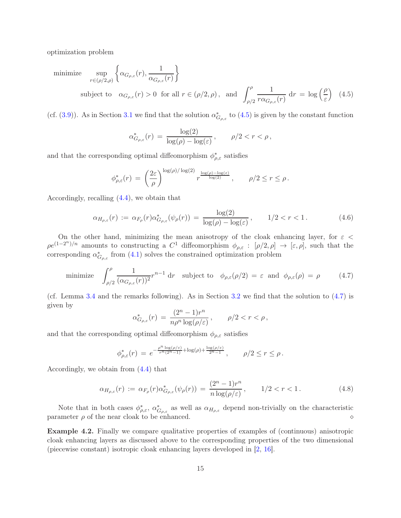optimization problem

minimize 
$$
\sup_{r \in (\rho/2,\rho)} \left\{ \alpha_{G_{\rho,\varepsilon}}(r), \frac{1}{\alpha_{G_{\rho,\varepsilon}}(r)} \right\}
$$
  
subject to  $\alpha_{G_{\rho,\varepsilon}}(r) > 0$  for all  $r \in (\rho/2,\rho)$ , and  $\int_{\rho/2}^{\rho} \frac{1}{r \alpha_{G_{\rho,\varepsilon}}(r)} dr = \log \left( \frac{\rho}{\varepsilon} \right)$  (4.5)

(cf. [\(3.9\)](#page-7-1)). As in Section [3.1](#page-7-4) we find that the solution  $\alpha_{G_{\rho,\varepsilon}}^*$  to [\(4.5\)](#page-14-0) is given by the constant function

<span id="page-14-0"></span>
$$
\alpha_{G_{\rho,\varepsilon}}^*(r) = \frac{\log(2)}{\log(\rho) - \log(\varepsilon)}, \qquad \rho/2 < r < \rho,
$$

and that the corresponding optimal diffeomorphism  $\phi^*_{\rho,\varepsilon}$  satisfies

$$
\phi_{\rho,\varepsilon}^*(r) = \left(\frac{2\varepsilon}{\rho}\right)^{\log(\rho)/\log(2)} r^{\frac{\log(\rho)-\log(\varepsilon)}{\log(2)}}, \qquad \rho/2 \le r \le \rho.
$$

Accordingly, recalling [\(4.4\)](#page-13-1), we obtain that

<span id="page-14-3"></span>
$$
\alpha_{H_{\rho,\varepsilon}}(r) := \alpha_{F_{\rho}}(r)\alpha^*_{G_{\rho,\varepsilon}}(\psi_{\rho}(r)) = \frac{\log(2)}{\log(\rho) - \log(\varepsilon)}, \qquad 1/2 < r < 1.
$$
 (4.6)

On the other hand, minimizing the mean anisotropy of the cloak enhancing layer, for  $\varepsilon$  <  $\rho e^{(1-2^n)/n}$  amounts to constructing a  $C^1$  diffeomorphism  $\phi_{\rho,\varepsilon} : [\rho/2,\rho] \to [\varepsilon,\rho],$  such that the corresponding  $\alpha_{G_{\rho,\varepsilon}}^*$  from [\(4.1\)](#page-12-3) solves the constrained optimization problem

<span id="page-14-1"></span>minimize 
$$
\int_{\rho/2}^{\rho} \frac{1}{(\alpha_{G_{\rho,\varepsilon}}(r))^2} r^{n-1} dr
$$
 subject to  $\phi_{\rho,\varepsilon}(\rho/2) = \varepsilon$  and  $\phi_{\rho,\varepsilon}(\rho) = \rho$  (4.7)

(cf. Lemma [3.4](#page-9-4) and the remarks following). As in Section [3.2](#page-9-3) we find that the solution to [\(4.7\)](#page-14-1) is given by

$$
\alpha_{G_{\rho,\varepsilon}}^*(r)\,=\,\frac{(2^n-1)r^n}{n\rho^n\log(\rho/\varepsilon)}\,,\qquad \rho/2< r<\rho\,,
$$

and that the corresponding optimal diffeomorphism  $\phi_{\rho,\varepsilon}$  satisfies

$$
\phi_{\rho,\varepsilon}^*(r) = e^{-\frac{\rho^n \log(\rho/\varepsilon)}{r^n (2^n-1)} + \log(\rho) + \frac{\log(\rho/\varepsilon)}{2^n-1}}, \qquad \rho/2 \le r \le \rho.
$$

Accordingly, we obtain from [\(4.4\)](#page-13-1) that

<span id="page-14-4"></span>
$$
\alpha_{H_{\rho,\varepsilon}}(r) := \alpha_{F_{\rho}}(r)\alpha^*_{G_{\rho,\varepsilon}}(\psi_{\rho}(r)) = \frac{(2^n - 1)r^n}{n\log(\rho/\varepsilon)}, \qquad 1/2 < r < 1.
$$
\n(4.8)

Note that in both cases  $\phi_{\rho,\varepsilon}^*$ ,  $\alpha_{G_{\rho,\varepsilon}}^*$  as well as  $\alpha_{H_{\rho,\varepsilon}}$  depend non-trivially on the characteristic parameter ρ of the near cloak to be enhanced. ⋄

<span id="page-14-2"></span>Example 4.2. Finally we compare qualitative properties of examples of (continuous) anisotropic cloak enhancing layers as discussed above to the corresponding properties of the two dimensional (piecewise constant) isotropic cloak enhancing layers developed in [\[2,](#page-16-1) [16\]](#page-17-10).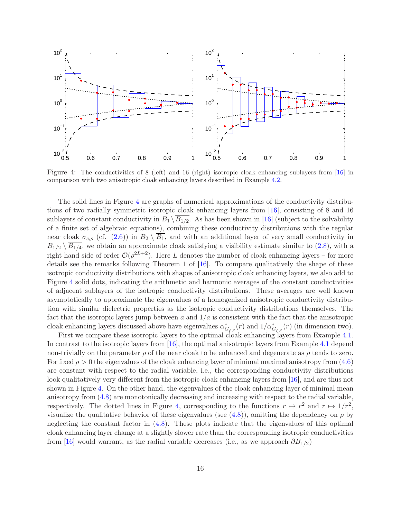

<span id="page-15-0"></span>Figure 4: The conductivities of 8 (left) and 16 (right) isotropic cloak enhancing sublayers from [\[16\]](#page-17-10) in comparison with two anisotropic cloak enhancing layers described in Example [4.2.](#page-14-2)

The solid lines in Figure [4](#page-15-0) are graphs of numerical approximations of the conductivity distributions of two radially symmetric isotropic cloak enhancing layers from [\[16\]](#page-17-10), consisting of 8 and 16 sublayers of constant conductivity in  $B_1 \setminus B_{1/2}$ . As has been shown in [\[16\]](#page-17-10) (subject to the solvability of a finite set of algebraic equations), combining these conductivity distributions with the regular near cloak  $\sigma_{c,\rho}$  (cf. [\(2.6\)](#page-3-2)) in  $B_2 \setminus \overline{B_1}$ , and with an additional layer of very small conductivity in  $B_{1/2} \setminus B_{1/4}$ , we obtain an approximate cloak satisfying a visibility estimate similar to [\(2.8\)](#page-4-0), with a right hand side of order  $\mathcal{O}(\rho^{2L+2})$ . Here L denotes the number of cloak enhancing layers – for more details see the remarks following Theorem 1 of [\[16\]](#page-17-10). To compare qualitatively the shape of these isotropic conductivity distributions with shapes of anisotropic cloak enhancing layers, we also add to Figure [4](#page-15-0) solid dots, indicating the arithmetic and harmonic averages of the constant conductivities of adjacent sublayers of the isotropic conductivity distributions. These averages are well known asymptotically to approximate the eigenvalues of a homogenized anisotropic conductivity distribution with similar dielectric properties as the isotropic conductivity distributions themselves. The fact that the isotropic layers jump between a and  $1/a$  is consistent with the fact that the anisotropic cloak enhancing layers discussed above have eigenvalues  $\alpha_{G_{\rho,\varepsilon}}^*(r)$  and  $1/\alpha_{G_{\rho,\varepsilon}}^*(r)$  (in dimension two).

First we compare these isotropic layers to the optimal cloak enhancing layers from Example [4.1.](#page-13-2) In contrast to the isotropic layers from [\[16\]](#page-17-10), the optimal anisotropic layers from Example [4.1](#page-13-2) depend non-trivially on the parameter  $\rho$  of the near cloak to be enhanced and degenerate as  $\rho$  tends to zero. For fixed  $\rho > 0$  the eigenvalues of the cloak enhancing layer of minimal maximal anisotropy from [\(4.6\)](#page-14-3) are constant with respect to the radial variable, i.e., the corresponding conductivity distributions look qualitatively very different from the isotropic cloak enhancing layers from [\[16\]](#page-17-10), and are thus not shown in Figure [4.](#page-15-0) On the other hand, the eigenvalues of the cloak enhancing layer of minimal mean anisotropy from [\(4.8\)](#page-14-4) are monotonically decreasing and increasing with respect to the radial variable, respectively. The dotted lines in Figure [4,](#page-15-0) corresponding to the functions  $r \mapsto r^2$  and  $r \mapsto 1/r^2$ , visualize the qualitative behavior of these eigenvalues (see [\(4.8\)](#page-14-4)), omitting the dependency on  $\rho$  by neglecting the constant factor in [\(4.8\)](#page-14-4). These plots indicate that the eigenvalues of this optimal cloak enhancing layer change at a slightly slower rate than the corresponding isotropic conductivities from [\[16\]](#page-17-10) would warrant, as the radial variable decreases (i.e., as we approach  $\partial B_{1/2}$ )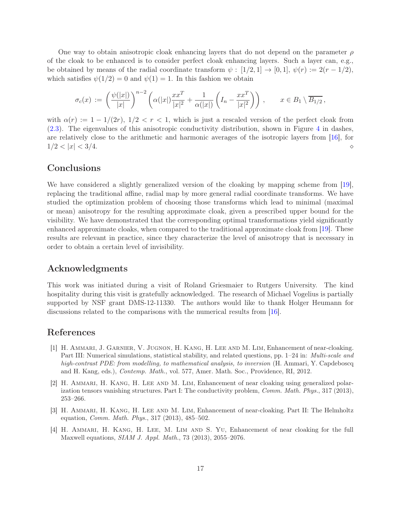One way to obtain anisotropic cloak enhancing layers that do not depend on the parameter  $\rho$ of the cloak to be enhanced is to consider perfect cloak enhancing layers. Such a layer can, e.g., be obtained by means of the radial coordinate transform  $\psi : [1/2, 1] \rightarrow [0, 1], \psi(r) := 2(r - 1/2),$ which satisfies  $\psi(1/2) = 0$  and  $\psi(1) = 1$ . In this fashion we obtain

$$
\sigma_c(x) := \left(\frac{\psi(|x|)}{|x|}\right)^{n-2} \left(\alpha(|x|) \frac{x x^T}{|x|^2} + \frac{1}{\alpha(|x|)} \left(I_n - \frac{x x^T}{|x|^2}\right)\right), \qquad x \in B_1 \setminus \overline{B_{1/2}},
$$

with  $\alpha(r) := 1 - 1/(2r)$ ,  $1/2 < r < 1$ , which is just a rescaled version of the perfect cloak from [\(2.3\)](#page-2-3). The eigenvalues of this anisotropic conductivity distribution, shown in Figure [4](#page-15-0) in dashes, are relatively close to the arithmetic and harmonic averages of the isotropic layers from [\[16\]](#page-17-10), for  $1/2 < |x| < 3/4.$ 

## **Conclusions**

We have considered a slightly generalized version of the cloaking by mapping scheme from [\[19\]](#page-17-6). replacing the traditional affine, radial map by more general radial coordinate transforms. We have studied the optimization problem of choosing those transforms which lead to minimal (maximal or mean) anisotropy for the resulting approximate cloak, given a prescribed upper bound for the visibility. We have demonstrated that the corresponding optimal transformations yield significantly enhanced approximate cloaks, when compared to the traditional approximate cloak from [\[19\]](#page-17-6). These results are relevant in practice, since they characterize the level of anisotropy that is necessary in order to obtain a certain level of invisibility.

## Acknowledgments

This work was initiated during a visit of Roland Griesmaier to Rutgers University. The kind hospitality during this visit is gratefully acknowledged. The research of Michael Vogelius is partially supported by NSF grant DMS-12-11330. The authors would like to thank Holger Heumann for discussions related to the comparisons with the numerical results from [\[16\]](#page-17-10).

## <span id="page-16-0"></span>References

- [1] H. Ammari, J. Garnier, V. Jugnon, H. Kang, H. Lee and M. Lim, Enhancement of near-cloaking. Part III: Numerical simulations, statistical stability, and related questions, pp. 1–24 in: *Multi-scale and* high-contrast PDE: from modelling, to mathematical analysis, to inversion (H. Ammari, Y. Capdeboscq and H. Kang, eds.), Contemp. Math., vol. 577, Amer. Math. Soc., Providence, RI, 2012.
- <span id="page-16-1"></span>[2] H. Ammari, H. Kang, H. Lee and M. Lim, Enhancement of near cloaking using generalized polarization tensors vanishing structures. Part I: The conductivity problem, Comm. Math. Phys., 317 (2013), 253–266.
- <span id="page-16-2"></span>[3] H. Ammari, H. Kang, H. Lee and M. Lim, Enhancement of near-cloaking. Part II: The Helmholtz equation, Comm. Math. Phys., 317 (2013), 485–502.
- <span id="page-16-3"></span>[4] H. Ammari, H. Kang, H. Lee, M. Lim and S. Yu, Enhancement of near cloaking for the full Maxwell equations, SIAM J. Appl. Math., 73 (2013), 2055–2076.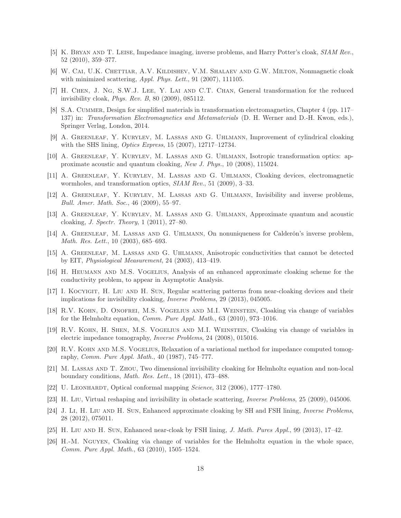- <span id="page-17-13"></span><span id="page-17-3"></span>[5] K. Bryan and T. Leise, Impedance imaging, inverse problems, and Harry Potter's cloak, SIAM Rev., 52 (2010), 359–377.
- [6] W. CAI, U.K. CHETTIAR, A.V. KILDISHEV, V.M. SHALAEV AND G.W. MILTON, Nonmagnetic cloak with minimized scattering, Appl. Phys. Lett., 91 (2007), 111105.
- <span id="page-17-15"></span><span id="page-17-14"></span>[7] H. Chen, J. Ng, S.W.J. Lee, Y. Lai and C.T. Chan, General transformation for the reduced invisibility cloak, Phys. Rev. B, 80 (2009), 085112.
- [8] S.A. CUMMER, Design for simplified materials in transformation electromagnetics, Chapter 4 (pp. 117– 137) in: Transformation Electromagnetics and Metamaterials (D. H. Werner and D.-H. Kwon, eds.), Springer Verlag, London, 2014.
- <span id="page-17-17"></span>[9] A. Greenleaf, Y. Kurylev, M. Lassas and G. Uhlmann, Improvement of cylindrical cloaking with the SHS lining, *Optics Express*,  $15$  (2007),  $12717-12734$ .
- <span id="page-17-18"></span><span id="page-17-4"></span>[10] A. Greenleaf, Y. Kurylev, M. Lassas and G. Uhlmann, Isotropic transformation optics: approximate acoustic and quantum cloaking, New J. Phys., 10 (2008), 115024.
- [11] A. Greenleaf, Y. Kurylev, M. Lassas and G. Uhlmann, Cloaking devices, electromagnetic wormholes, and transformation optics, SIAM Rev., 51 (2009), 3–33.
- <span id="page-17-19"></span><span id="page-17-5"></span>[12] A. Greenleaf, Y. Kurylev, M. Lassas and G. Uhlmann, Invisibility and inverse problems, Bull. Amer. Math. Soc., 46 (2009), 55–97.
- [13] A. Greenleaf, Y. Kurylev, M. Lassas and G. Uhlmann, Approximate quantum and acoustic cloaking, J. Spectr. Theory, 1 (2011), 27–80.
- <span id="page-17-0"></span>[14] A. GREENLEAF, M. LASSAS AND G. UHLMANN, On nonuniqueness for Calderón's inverse problem, Math. Res. Lett., 10 (2003), 685–693.
- <span id="page-17-10"></span><span id="page-17-1"></span>[15] A. Greenleaf, M. Lassas and G. Uhlmann, Anisotropic conductivities that cannot be detected by EIT, Physiological Measurement, 24 (2003), 413–419.
- <span id="page-17-21"></span>[16] H. Heumann and M.S. Vogelius, Analysis of an enhanced approximate cloaking scheme for the conductivity problem, to appear in Asymptotic Analysis.
- [17] I. Kocyigit, H. Liu and H. Sun, Regular scattering patterns from near-cloaking devices and their implications for invisibility cloaking, Inverse Problems, 29 (2013), 045005.
- <span id="page-17-7"></span>[18] R.V. Kohn, D. Onofrei, M.S. Vogelius and M.I. Weinstein, Cloaking via change of variables for the Helmholtz equation, Comm. Pure Appl. Math., 63 (2010), 973–1016.
- <span id="page-17-6"></span>[19] R.V. Kohn, H. Shen, M.S. Vogelius and M.I. Weinstein, Cloaking via change of variables in electric impedance tomography, Inverse Problems, 24 (2008), 015016.
- <span id="page-17-16"></span>[20] R.V. Kohn and M.S. Vogelius, Relaxation of a variational method for impedance computed tomography, Comm. Pure Appl. Math., 40 (1987), 745–777.
- <span id="page-17-20"></span>[21] M. Lassas and T. Zhou, Two dimensional invisibility cloaking for Helmholtz equation and non-local boundary conditions, Math. Res. Lett., 18 (2011), 473–488.
- <span id="page-17-8"></span><span id="page-17-2"></span>[22] U. LEONHARDT, Optical conformal mapping  $Science$ , 312 (2006), 1777–1780.
- <span id="page-17-11"></span>[23] H. Liu, Virtual reshaping and invisibility in obstacle scattering, Inverse Problems, 25 (2009), 045006.
- [24] J. Li, H. Liu AND H. Sun, Enhanced approximate cloaking by SH and FSH lining, *Inverse Problems*, 28 (2012), 075011.
- <span id="page-17-12"></span><span id="page-17-9"></span>[25] H. Liu and H. Sun, Enhanced near-cloak by FSH lining, J. Math. Pures Appl., 99 (2013), 17–42.
- [26] H.-M. Nguyen, Cloaking via change of variables for the Helmholtz equation in the whole space, Comm. Pure Appl. Math., 63 (2010), 1505–1524.